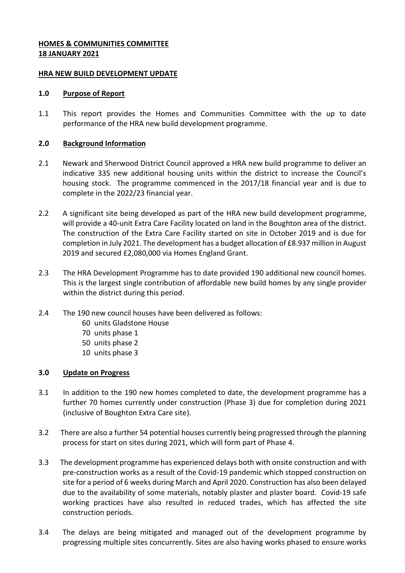# **HOMES & COMMUNITIES COMMITTEE 18 JANUARY 2021**

#### **HRA NEW BUILD DEVELOPMENT UPDATE**

#### **1.0 Purpose of Report**

1.1 This report provides the Homes and Communities Committee with the up to date performance of the HRA new build development programme.

#### **2.0 Background Information**

- 2.1 Newark and Sherwood District Council approved a HRA new build programme to deliver an indicative 335 new additional housing units within the district to increase the Council's housing stock. The programme commenced in the 2017/18 financial year and is due to complete in the 2022/23 financial year.
- 2.2 A significant site being developed as part of the HRA new build development programme, will provide a 40-unit Extra Care Facility located on land in the Boughton area of the district. The construction of the Extra Care Facility started on site in October 2019 and is due for completion in July 2021. The development has a budget allocation of £8.937 million in August 2019 and secured £2,080,000 via Homes England Grant.
- 2.3 The HRA Development Programme has to date provided 190 additional new council homes. This is the largest single contribution of affordable new build homes by any single provider within the district during this period.
- 2.4 The 190 new council houses have been delivered as follows:
	- 60 units Gladstone House
	- 70 units phase 1
	- 50 units phase 2
	- 10 units phase 3

#### **3.0 Update on Progress**

- 3.1 In addition to the 190 new homes completed to date, the development programme has a further 70 homes currently under construction (Phase 3) due for completion during 2021 (inclusive of Boughton Extra Care site).
- 3.2 There are also a further 54 potential houses currently being progressed through the planning process for start on sites during 2021, which will form part of Phase 4.
- 3.3 The development programme has experienced delays both with onsite construction and with pre-construction works as a result of the Covid-19 pandemic which stopped construction on site for a period of 6 weeks during March and April 2020. Construction has also been delayed due to the availability of some materials, notably plaster and plaster board. Covid-19 safe working practices have also resulted in reduced trades, which has affected the site construction periods.
- 3.4 The delays are being mitigated and managed out of the development programme by progressing multiple sites concurrently. Sites are also having works phased to ensure works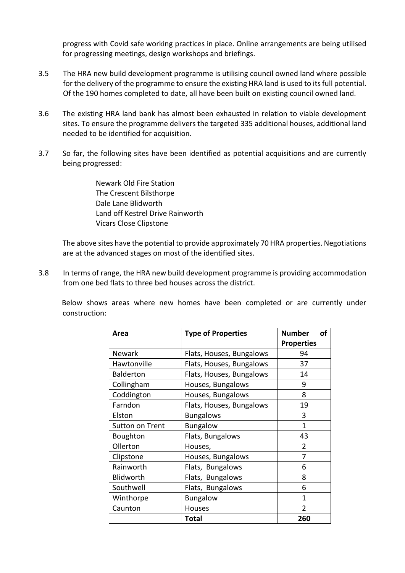progress with Covid safe working practices in place. Online arrangements are being utilised for progressing meetings, design workshops and briefings.

- 3.5 The HRA new build development programme is utilising council owned land where possible for the delivery of the programme to ensure the existing HRA land is used to its full potential. Of the 190 homes completed to date, all have been built on existing council owned land.
- 3.6 The existing HRA land bank has almost been exhausted in relation to viable development sites. To ensure the programme delivers the targeted 335 additional houses, additional land needed to be identified for acquisition.
- 3.7 So far, the following sites have been identified as potential acquisitions and are currently being progressed:

 Newark Old Fire Station The Crescent Bilsthorpe Dale Lane Blidworth Land off Kestrel Drive Rainworth Vicars Close Clipstone

The above sites have the potential to provide approximately 70 HRA properties. Negotiations are at the advanced stages on most of the identified sites.

3.8 In terms of range, the HRA new build development programme is providing accommodation from one bed flats to three bed houses across the district.

 Below shows areas where new homes have been completed or are currently under construction:

| Area             | <b>Type of Properties</b> | <b>Number</b><br>οf |
|------------------|---------------------------|---------------------|
|                  |                           | <b>Properties</b>   |
| <b>Newark</b>    | Flats, Houses, Bungalows  | 94                  |
| Hawtonville      | Flats, Houses, Bungalows  | 37                  |
| <b>Balderton</b> | Flats, Houses, Bungalows  | 14                  |
| Collingham       | Houses, Bungalows         | 9                   |
| Coddington       | Houses, Bungalows         | 8                   |
| Farndon          | Flats, Houses, Bungalows  | 19                  |
| Elston           | <b>Bungalows</b>          | 3                   |
| Sutton on Trent  | <b>Bungalow</b>           | 1                   |
| Boughton         | Flats, Bungalows          | 43                  |
| Ollerton         | Houses,                   | 2                   |
| Clipstone        | Houses, Bungalows         | 7                   |
| Rainworth        | Flats, Bungalows          | 6                   |
| Blidworth        | Flats, Bungalows          | 8                   |
| Southwell        | Flats, Bungalows          | 6                   |
| Winthorpe        | <b>Bungalow</b>           | 1                   |
| Caunton          | Houses                    | $\mathfrak{p}$      |
|                  | Total                     | 260                 |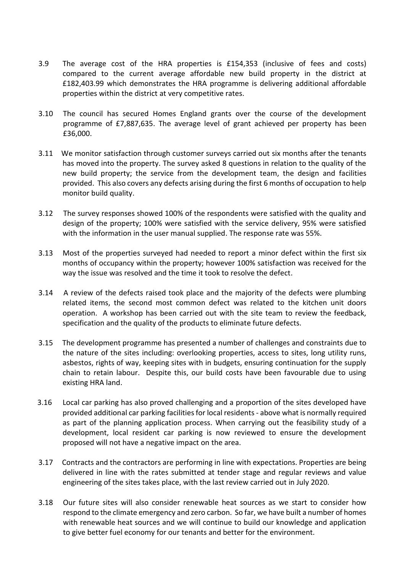- 3.9 The average cost of the HRA properties is £154,353 (inclusive of fees and costs) compared to the current average affordable new build property in the district at £182,403.99 which demonstrates the HRA programme is delivering additional affordable properties within the district at very competitive rates.
- 3.10 The council has secured Homes England grants over the course of the development programme of £7,887,635. The average level of grant achieved per property has been £36,000.
- 3.11 We monitor satisfaction through customer surveys carried out six months after the tenants has moved into the property. The survey asked 8 questions in relation to the quality of the new build property; the service from the development team, the design and facilities provided. This also covers any defects arising during the first 6 months of occupation to help monitor build quality.
- 3.12 The survey responses showed 100% of the respondents were satisfied with the quality and design of the property; 100% were satisfied with the service delivery, 95% were satisfied with the information in the user manual supplied. The response rate was 55%.
- 3.13 Most of the properties surveyed had needed to report a minor defect within the first six months of occupancy within the property; however 100% satisfaction was received for the way the issue was resolved and the time it took to resolve the defect.
- 3.14 A review of the defects raised took place and the majority of the defects were plumbing related items, the second most common defect was related to the kitchen unit doors operation. A workshop has been carried out with the site team to review the feedback, specification and the quality of the products to eliminate future defects.
- 3.15 The development programme has presented a number of challenges and constraints due to the nature of the sites including: overlooking properties, access to sites, long utility runs, asbestos, rights of way, keeping sites with in budgets, ensuring continuation for the supply chain to retain labour. Despite this, our build costs have been favourable due to using existing HRA land.
- 3.16 Local car parking has also proved challenging and a proportion of the sites developed have provided additional car parking facilities for local residents - above what is normally required as part of the planning application process. When carrying out the feasibility study of a development, local resident car parking is now reviewed to ensure the development proposed will not have a negative impact on the area.
- 3.17 Contracts and the contractors are performing in line with expectations. Properties are being delivered in line with the rates submitted at tender stage and regular reviews and value engineering of the sites takes place, with the last review carried out in July 2020.
- 3.18 Our future sites will also consider renewable heat sources as we start to consider how respond to the climate emergency and zero carbon. So far, we have built a number of homes with renewable heat sources and we will continue to build our knowledge and application to give better fuel economy for our tenants and better for the environment.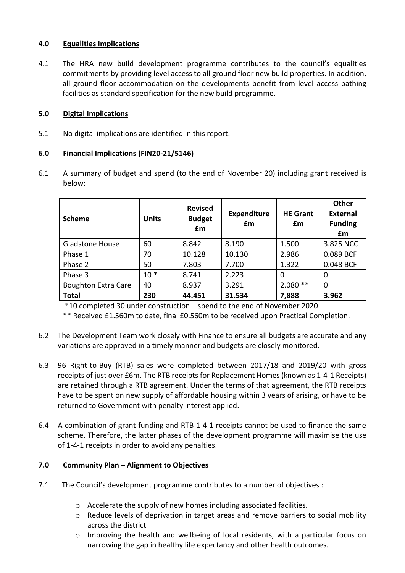# **4.0 Equalities Implications**

4.1 The HRA new build development programme contributes to the council's equalities commitments by providing level access to all ground floor new build properties. In addition, all ground floor accommodation on the developments benefit from level access bathing facilities as standard specification for the new build programme.

# **5.0 Digital Implications**

5.1 No digital implications are identified in this report.

## **6.0 Financial Implications (FIN20-21/5146)**

6.1 A summary of budget and spend (to the end of November 20) including grant received is below:

| <b>Scheme</b>              | <b>Units</b> | <b>Revised</b><br><b>Budget</b><br>£m | <b>Expenditure</b><br>£m | <b>HE Grant</b><br>£m | Other<br><b>External</b><br><b>Funding</b><br>£m |
|----------------------------|--------------|---------------------------------------|--------------------------|-----------------------|--------------------------------------------------|
| <b>Gladstone House</b>     | 60           | 8.842                                 | 8.190                    | 1.500                 | 3.825 NCC                                        |
| Phase 1                    | 70           | 10.128                                | 10.130                   | 2.986                 | 0.089 BCF                                        |
| Phase 2                    | 50           | 7.803                                 | 7.700                    | 1.322                 | 0.048 BCF                                        |
| Phase 3                    | $10*$        | 8.741                                 | 2.223                    | 0                     | $\Omega$                                         |
| <b>Boughton Extra Care</b> | 40           | 8.937                                 | 3.291                    | $2.080**$             | $\mathbf 0$                                      |
| <b>Total</b>               | 230          | 44.451                                | 31.534                   | 7,888                 | 3.962                                            |

\*10 completed 30 under construction – spend to the end of November 2020.

\*\* Received £1.560m to date, final £0.560m to be received upon Practical Completion.

- 6.2 The Development Team work closely with Finance to ensure all budgets are accurate and any variations are approved in a timely manner and budgets are closely monitored.
- 6.3 96 Right-to-Buy (RTB) sales were completed between 2017/18 and 2019/20 with gross receipts of just over £6m. The RTB receipts for Replacement Homes (known as 1-4-1 Receipts) are retained through a RTB agreement. Under the terms of that agreement, the RTB receipts have to be spent on new supply of affordable housing within 3 years of arising, or have to be returned to Government with penalty interest applied.
- 6.4 A combination of grant funding and RTB 1-4-1 receipts cannot be used to finance the same scheme. Therefore, the latter phases of the development programme will maximise the use of 1-4-1 receipts in order to avoid any penalties.

# **7.0 Community Plan – Alignment to Objectives**

- 7.1 The Council's development programme contributes to a number of objectives :
	- o Accelerate the supply of new homes including associated facilities.
	- o Reduce levels of deprivation in target areas and remove barriers to social mobility across the district
	- o Improving the health and wellbeing of local residents, with a particular focus on narrowing the gap in healthy life expectancy and other health outcomes.